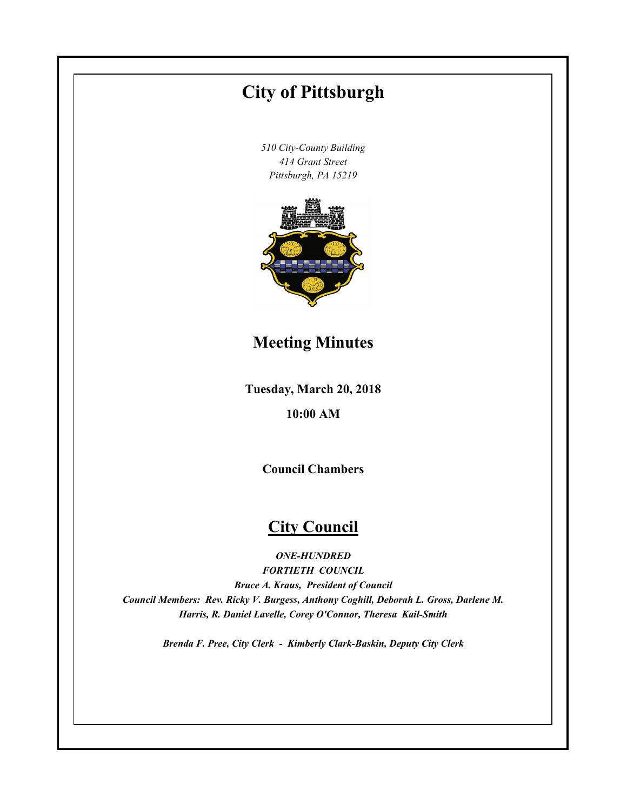# **Tuesday, March 20, 2018 10:00 AM City of Pittsburgh** *510 City-County Building 414 Grant Street Pittsburgh, PA 15219* **Council Chambers City Council** *ONE-HUNDRED FORTIETH COUNCIL Bruce A. Kraus, President of Council Council Members: Rev. Ricky V. Burgess, Anthony Coghill, Deborah L. Gross, Darlene M. Harris, R. Daniel Lavelle, Corey O'Connor, Theresa Kail-Smith Brenda F. Pree, City Clerk - Kimberly Clark-Baskin, Deputy City Clerk* **Meeting Minutes**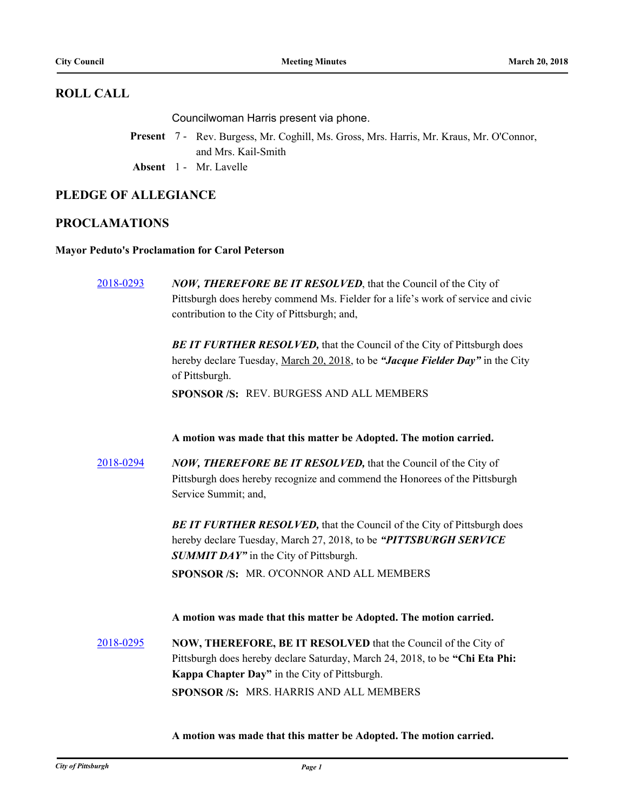#### **ROLL CALL**

Councilwoman Harris present via phone.

- Present 7 Rev. Burgess, Mr. Coghill, Ms. Gross, Mrs. Harris, Mr. Kraus, Mr. O'Connor, and Mrs. Kail-Smith
- **Absent** 1 Mr. Lavelle

#### **PLEDGE OF ALLEGIANCE**

#### **PROCLAMATIONS**

#### **Mayor Peduto's Proclamation for Carol Peterson**

[2018-0293](http://pittsburgh.legistar.com/gateway.aspx?m=l&id=/matter.aspx?key=22603) *NOW, THEREFORE BE IT RESOLVED*, that the Council of the City of Pittsburgh does hereby commend Ms. Fielder for a life's work of service and civic contribution to the City of Pittsburgh; and, **BE IT FURTHER RESOLVED, that the Council of the City of Pittsburgh does** hereby declare Tuesday, March 20, 2018, to be *"Jacque Fielder Day"* in the City of Pittsburgh. **SPONSOR /S:** REV. BURGESS AND ALL MEMBERS **A motion was made that this matter be Adopted. The motion carried.** [2018-0294](http://pittsburgh.legistar.com/gateway.aspx?m=l&id=/matter.aspx?key=22604) *NOW, THEREFORE BE IT RESOLVED,* that the Council of the City of Pittsburgh does hereby recognize and commend the Honorees of the Pittsburgh Service Summit; and, **BE IT FURTHER RESOLVED, that the Council of the City of Pittsburgh does** hereby declare Tuesday, March 27, 2018, to be *"PITTSBURGH SERVICE*  **SUMMIT DAY"** in the City of Pittsburgh. **SPONSOR /S:** MR. O'CONNOR AND ALL MEMBERS **A motion was made that this matter be Adopted. The motion carried.** [2018-0295](http://pittsburgh.legistar.com/gateway.aspx?m=l&id=/matter.aspx?key=22605) **NOW, THEREFORE, BE IT RESOLVED** that the Council of the City of Pittsburgh does hereby declare Saturday, March 24, 2018, to be **"Chi Eta Phi: Kappa Chapter Day"** in the City of Pittsburgh. **SPONSOR /S:** MRS. HARRIS AND ALL MEMBERS

**A motion was made that this matter be Adopted. The motion carried.**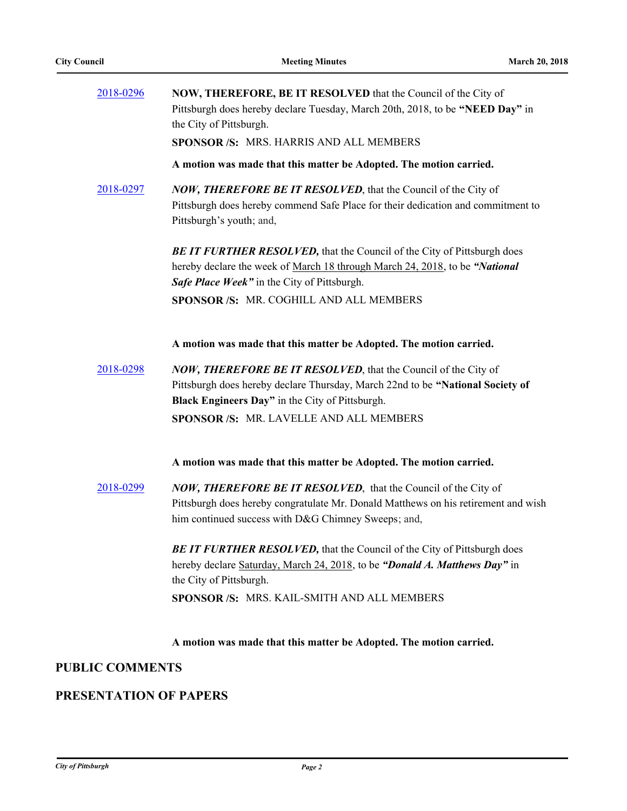| 2018-0296              | NOW, THEREFORE, BE IT RESOLVED that the Council of the City of<br>Pittsburgh does hereby declare Tuesday, March 20th, 2018, to be "NEED Day" in<br>the City of Pittsburgh.<br>SPONSOR /S: MRS. HARRIS AND ALL MEMBERS |
|------------------------|-----------------------------------------------------------------------------------------------------------------------------------------------------------------------------------------------------------------------|
|                        | A motion was made that this matter be Adopted. The motion carried.                                                                                                                                                    |
| 2018-0297              | <b>NOW, THEREFORE BE IT RESOLVED</b> , that the Council of the City of<br>Pittsburgh does hereby commend Safe Place for their dedication and commitment to<br>Pittsburgh's youth; and,                                |
|                        | <b>BE IT FURTHER RESOLVED, that the Council of the City of Pittsburgh does</b><br>hereby declare the week of March 18 through March 24, 2018, to be "National<br>Safe Place Week" in the City of Pittsburgh.          |
|                        | SPONSOR /S: MR. COGHILL AND ALL MEMBERS                                                                                                                                                                               |
|                        | A motion was made that this matter be Adopted. The motion carried.                                                                                                                                                    |
| 2018-0298              | NOW, THEREFORE BE IT RESOLVED, that the Council of the City of<br>Pittsburgh does hereby declare Thursday, March 22nd to be "National Society of<br>Black Engineers Day" in the City of Pittsburgh.                   |
|                        | SPONSOR /S: MR. LAVELLE AND ALL MEMBERS                                                                                                                                                                               |
|                        | A motion was made that this matter be Adopted. The motion carried.                                                                                                                                                    |
| 2018-0299              | <b>NOW, THEREFORE BE IT RESOLVED</b> , that the Council of the City of<br>Pittsburgh does hereby congratulate Mr. Donald Matthews on his retirement and wish<br>him continued success with D&G Chimney Sweeps; and,   |
|                        | BE IT FURTHER RESOLVED, that the Council of the City of Pittsburgh does<br>hereby declare Saturday, March 24, 2018, to be "Donald A. Matthews Day" in<br>the City of Pittsburgh.                                      |
|                        | SPONSOR /S: MRS. KAIL-SMITH AND ALL MEMBERS                                                                                                                                                                           |
|                        | A motion was made that this matter be Adopted. The motion carried.                                                                                                                                                    |
| <b>PUBLIC COMMENTS</b> |                                                                                                                                                                                                                       |

# **PRESENTATION OF PAPERS**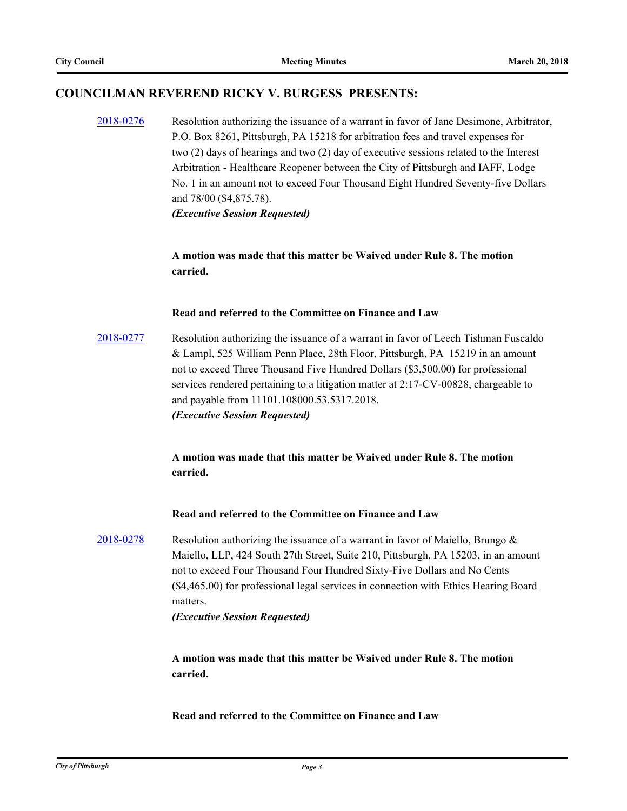#### **COUNCILMAN REVEREND RICKY V. BURGESS PRESENTS:**

[2018-0276](http://pittsburgh.legistar.com/gateway.aspx?m=l&id=/matter.aspx?key=22586) Resolution authorizing the issuance of a warrant in favor of Jane Desimone, Arbitrator, P.O. Box 8261, Pittsburgh, PA 15218 for arbitration fees and travel expenses for two (2) days of hearings and two (2) day of executive sessions related to the Interest Arbitration - Healthcare Reopener between the City of Pittsburgh and IAFF, Lodge No. 1 in an amount not to exceed Four Thousand Eight Hundred Seventy-five Dollars and 78/00 (\$4,875.78). *(Executive Session Requested)*

> **A motion was made that this matter be Waived under Rule 8. The motion carried.**

#### **Read and referred to the Committee on Finance and Law**

[2018-0277](http://pittsburgh.legistar.com/gateway.aspx?m=l&id=/matter.aspx?key=22587) Resolution authorizing the issuance of a warrant in favor of Leech Tishman Fuscaldo & Lampl, 525 William Penn Place, 28th Floor, Pittsburgh, PA 15219 in an amount not to exceed Three Thousand Five Hundred Dollars (\$3,500.00) for professional services rendered pertaining to a litigation matter at 2:17-CV-00828, chargeable to and payable from 11101.108000.53.5317.2018. *(Executive Session Requested)*

> **A motion was made that this matter be Waived under Rule 8. The motion carried.**

#### **Read and referred to the Committee on Finance and Law**

[2018-0278](http://pittsburgh.legistar.com/gateway.aspx?m=l&id=/matter.aspx?key=22588) Resolution authorizing the issuance of a warrant in favor of Maiello, Brungo & Maiello, LLP, 424 South 27th Street, Suite 210, Pittsburgh, PA 15203, in an amount not to exceed Four Thousand Four Hundred Sixty-Five Dollars and No Cents (\$4,465.00) for professional legal services in connection with Ethics Hearing Board matters.

*(Executive Session Requested)*

**A motion was made that this matter be Waived under Rule 8. The motion carried.**

**Read and referred to the Committee on Finance and Law**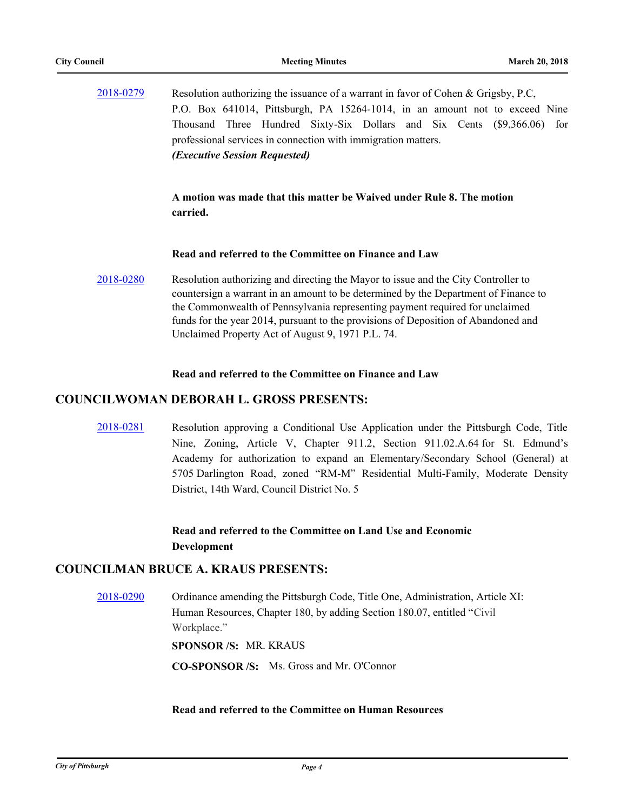| 2018-0279 | Resolution authorizing the issuance of a warrant in favor of Cohen & Grigsby, P.C.                                                                                                                                                                                                                                                                                                                   |
|-----------|------------------------------------------------------------------------------------------------------------------------------------------------------------------------------------------------------------------------------------------------------------------------------------------------------------------------------------------------------------------------------------------------------|
|           | P.O. Box 641014, Pittsburgh, PA 15264-1014, in an amount not to exceed Nine                                                                                                                                                                                                                                                                                                                          |
|           | Thousand Three Hundred Sixty-Six Dollars and Six Cents (\$9,366.06) for<br>professional services in connection with immigration matters.<br>(Executive Session Requested)                                                                                                                                                                                                                            |
|           | A motion was made that this matter be Waived under Rule 8. The motion<br>carried.                                                                                                                                                                                                                                                                                                                    |
|           | Read and referred to the Committee on Finance and Law                                                                                                                                                                                                                                                                                                                                                |
| 2018-0280 | Resolution authorizing and directing the Mayor to issue and the City Controller to<br>countersign a warrant in an amount to be determined by the Department of Finance to<br>the Commonwealth of Pennsylvania representing payment required for unclaimed<br>funds for the year 2014, pursuant to the provisions of Deposition of Abandoned and<br>Unclaimed Property Act of August 9, 1971 P.L. 74. |

#### **Read and referred to the Committee on Finance and Law**

#### **COUNCILWOMAN DEBORAH L. GROSS PRESENTS:**

[2018-0281](http://pittsburgh.legistar.com/gateway.aspx?m=l&id=/matter.aspx?key=22591) Resolution approving a Conditional Use Application under the Pittsburgh Code, Title Nine, Zoning, Article V, Chapter 911.2, Section 911.02.A.64 for St. Edmund's Academy for authorization to expand an Elementary/Secondary School (General) at 5705 Darlington Road, zoned "RM-M" Residential Multi-Family, Moderate Density District, 14th Ward, Council District No. 5

> **Read and referred to the Committee on Land Use and Economic Development**

#### **COUNCILMAN BRUCE A. KRAUS PRESENTS:**

[2018-0290](http://pittsburgh.legistar.com/gateway.aspx?m=l&id=/matter.aspx?key=22600) Ordinance amending the Pittsburgh Code, Title One, Administration, Article XI: Human Resources, Chapter 180, by adding Section 180.07, entitled "Civil Workplace."

**SPONSOR /S:** MR. KRAUS

**CO-SPONSOR /S:** Ms. Gross and Mr. O'Connor

#### **Read and referred to the Committee on Human Resources**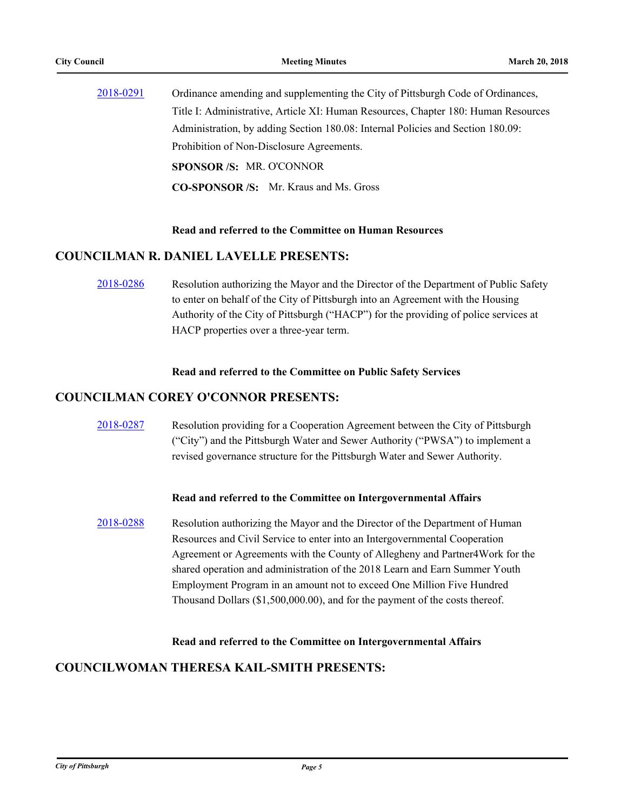| 2018-0291 | Ordinance amending and supplementing the City of Pittsburgh Code of Ordinances,    |
|-----------|------------------------------------------------------------------------------------|
|           | Title I: Administrative, Article XI: Human Resources, Chapter 180: Human Resources |
|           | Administration, by adding Section 180.08: Internal Policies and Section 180.09:    |
|           | Prohibition of Non-Disclosure Agreements.                                          |
|           | <b>SPONSOR/S: MR. O'CONNOR</b>                                                     |
|           | <b>CO-SPONSOR /S:</b> Mr. Kraus and Ms. Gross                                      |

# **Read and referred to the Committee on Human Resources**

# **COUNCILMAN R. DANIEL LAVELLE PRESENTS:**

[2018-0286](http://pittsburgh.legistar.com/gateway.aspx?m=l&id=/matter.aspx?key=22596) Resolution authorizing the Mayor and the Director of the Department of Public Safety to enter on behalf of the City of Pittsburgh into an Agreement with the Housing Authority of the City of Pittsburgh ("HACP") for the providing of police services at HACP properties over a three-year term.

#### **Read and referred to the Committee on Public Safety Services**

#### **COUNCILMAN COREY O'CONNOR PRESENTS:**

[2018-0287](http://pittsburgh.legistar.com/gateway.aspx?m=l&id=/matter.aspx?key=22597) Resolution providing for a Cooperation Agreement between the City of Pittsburgh ("City") and the Pittsburgh Water and Sewer Authority ("PWSA") to implement a revised governance structure for the Pittsburgh Water and Sewer Authority.

#### **Read and referred to the Committee on Intergovernmental Affairs**

[2018-0288](http://pittsburgh.legistar.com/gateway.aspx?m=l&id=/matter.aspx?key=22598) Resolution authorizing the Mayor and the Director of the Department of Human Resources and Civil Service to enter into an Intergovernmental Cooperation Agreement or Agreements with the County of Allegheny and Partner4Work for the shared operation and administration of the 2018 Learn and Earn Summer Youth Employment Program in an amount not to exceed One Million Five Hundred Thousand Dollars (\$1,500,000.00), and for the payment of the costs thereof.

#### **Read and referred to the Committee on Intergovernmental Affairs**

#### **COUNCILWOMAN THERESA KAIL-SMITH PRESENTS:**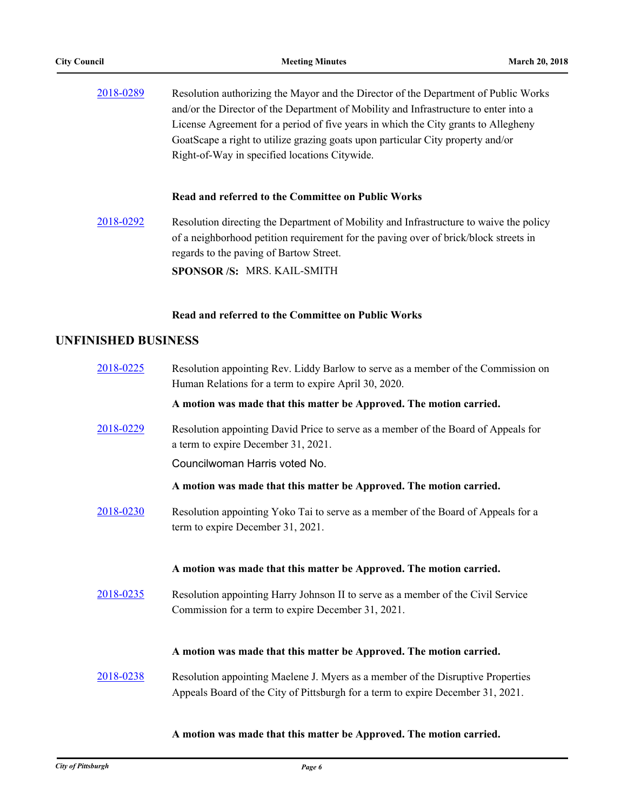| 2018-0289 | Resolution authorizing the Mayor and the Director of the Department of Public Works  |
|-----------|--------------------------------------------------------------------------------------|
|           | and/or the Director of the Department of Mobility and Infrastructure to enter into a |
|           | License Agreement for a period of five years in which the City grants to Allegheny   |
|           | GoatScape a right to utilize grazing goats upon particular City property and/or      |
|           | Right-of-Way in specified locations Citywide.                                        |

#### **Read and referred to the Committee on Public Works**

[2018-0292](http://pittsburgh.legistar.com/gateway.aspx?m=l&id=/matter.aspx?key=22602) Resolution directing the Department of Mobility and Infrastructure to waive the policy of a neighborhood petition requirement for the paving over of brick/block streets in regards to the paving of Bartow Street. **SPONSOR /S:** MRS. KAIL-SMITH

#### **Read and referred to the Committee on Public Works**

#### **UNFINISHED BUSINESS**

| 2018-0225 | Resolution appointing Rev. Liddy Barlow to serve as a member of the Commission on<br>Human Relations for a term to expire April 30, 2020.                          |
|-----------|--------------------------------------------------------------------------------------------------------------------------------------------------------------------|
|           | A motion was made that this matter be Approved. The motion carried.                                                                                                |
| 2018-0229 | Resolution appointing David Price to serve as a member of the Board of Appeals for<br>a term to expire December 31, 2021.                                          |
|           | Councilwoman Harris voted No.                                                                                                                                      |
|           | A motion was made that this matter be Approved. The motion carried.                                                                                                |
| 2018-0230 | Resolution appointing Yoko Tai to serve as a member of the Board of Appeals for a<br>term to expire December 31, 2021.                                             |
|           | A motion was made that this matter be Approved. The motion carried.                                                                                                |
| 2018-0235 | Resolution appointing Harry Johnson II to serve as a member of the Civil Service<br>Commission for a term to expire December 31, 2021.                             |
|           | A motion was made that this matter be Approved. The motion carried.                                                                                                |
| 2018-0238 | Resolution appointing Maelene J. Myers as a member of the Disruptive Properties<br>Appeals Board of the City of Pittsburgh for a term to expire December 31, 2021. |

**A motion was made that this matter be Approved. The motion carried.**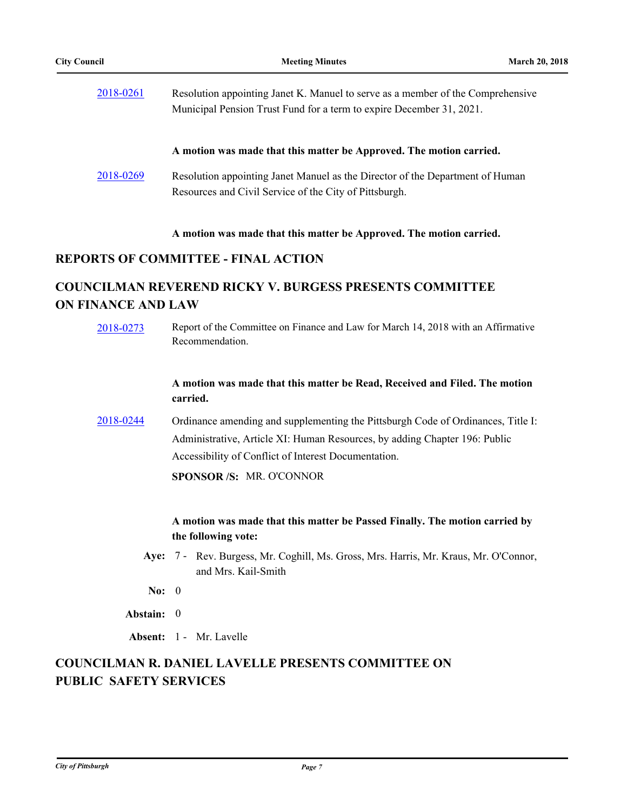| 2018-0261 | Resolution appointing Janet K. Manuel to serve as a member of the Comprehensive |
|-----------|---------------------------------------------------------------------------------|
|           | Municipal Pension Trust Fund for a term to expire December 31, 2021.            |
|           |                                                                                 |
|           |                                                                                 |
|           | A motion was made that this matter be Approved. The motion carried.             |
| 2018-0269 | Resolution appointing Janet Manuel as the Director of the Department of Human   |
|           | Resources and Civil Service of the City of Pittsburgh.                          |

#### **A motion was made that this matter be Approved. The motion carried.**

### **REPORTS OF COMMITTEE - FINAL ACTION**

# **COUNCILMAN REVEREND RICKY V. BURGESS PRESENTS COMMITTEE ON FINANCE AND LAW**

[2018-0273](http://pittsburgh.legistar.com/gateway.aspx?m=l&id=/matter.aspx?key=22583) Report of the Committee on Finance and Law for March 14, 2018 with an Affirmative Recommendation. **A motion was made that this matter be Read, Received and Filed. The motion carried.** [2018-0244](http://pittsburgh.legistar.com/gateway.aspx?m=l&id=/matter.aspx?key=22543) Ordinance amending and supplementing the Pittsburgh Code of Ordinances, Title I: Administrative, Article XI: Human Resources, by adding Chapter 196: Public Accessibility of Conflict of Interest Documentation. **SPONSOR /S:** MR. O'CONNOR **A motion was made that this matter be Passed Finally. The motion carried by the following vote:** Aye: 7 - Rev. Burgess, Mr. Coghill, Ms. Gross, Mrs. Harris, Mr. Kraus, Mr. O'Connor, and Mrs. Kail-Smith **No:** 0 **Abstain:** 0 **Absent:** 1 - Mr. Lavelle

# **COUNCILMAN R. DANIEL LAVELLE PRESENTS COMMITTEE ON PUBLIC SAFETY SERVICES**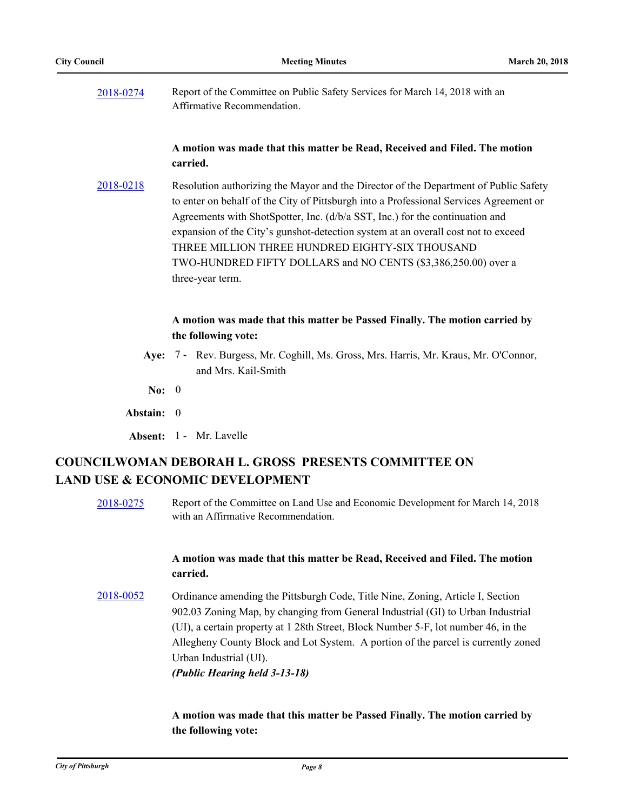[2018-0274](http://pittsburgh.legistar.com/gateway.aspx?m=l&id=/matter.aspx?key=22584) Report of the Committee on Public Safety Services for March 14, 2018 with an Affirmative Recommendation.

#### **A motion was made that this matter be Read, Received and Filed. The motion carried.**

[2018-0218](http://pittsburgh.legistar.com/gateway.aspx?m=l&id=/matter.aspx?key=22517) Resolution authorizing the Mayor and the Director of the Department of Public Safety to enter on behalf of the City of Pittsburgh into a Professional Services Agreement or Agreements with ShotSpotter, Inc. (d/b/a SST, Inc.) for the continuation and expansion of the City's gunshot-detection system at an overall cost not to exceed THREE MILLION THREE HUNDRED EIGHTY-SIX THOUSAND TWO-HUNDRED FIFTY DOLLARS and NO CENTS (\$3,386,250.00) over a three-year term.

#### **A motion was made that this matter be Passed Finally. The motion carried by the following vote:**

- Aye: 7 Rev. Burgess, Mr. Coghill, Ms. Gross, Mrs. Harris, Mr. Kraus, Mr. O'Connor, and Mrs. Kail-Smith
- **No:** 0

**Abstain:** 0

**Absent:** 1 - Mr. Lavelle

# **COUNCILWOMAN DEBORAH L. GROSS PRESENTS COMMITTEE ON LAND USE & ECONOMIC DEVELOPMENT**

[2018-0275](http://pittsburgh.legistar.com/gateway.aspx?m=l&id=/matter.aspx?key=22585) Report of the Committee on Land Use and Economic Development for March 14, 2018 with an Affirmative Recommendation.

### **A motion was made that this matter be Read, Received and Filed. The motion carried.**

[2018-0052](http://pittsburgh.legistar.com/gateway.aspx?m=l&id=/matter.aspx?key=22351) Ordinance amending the Pittsburgh Code, Title Nine, Zoning, Article I, Section 902.03 Zoning Map, by changing from General Industrial (GI) to Urban Industrial (UI), a certain property at 1 28th Street, Block Number 5-F, lot number 46, in the Allegheny County Block and Lot System. A portion of the parcel is currently zoned Urban Industrial (UI). *(Public Hearing held 3-13-18)*

> **A motion was made that this matter be Passed Finally. The motion carried by the following vote:**